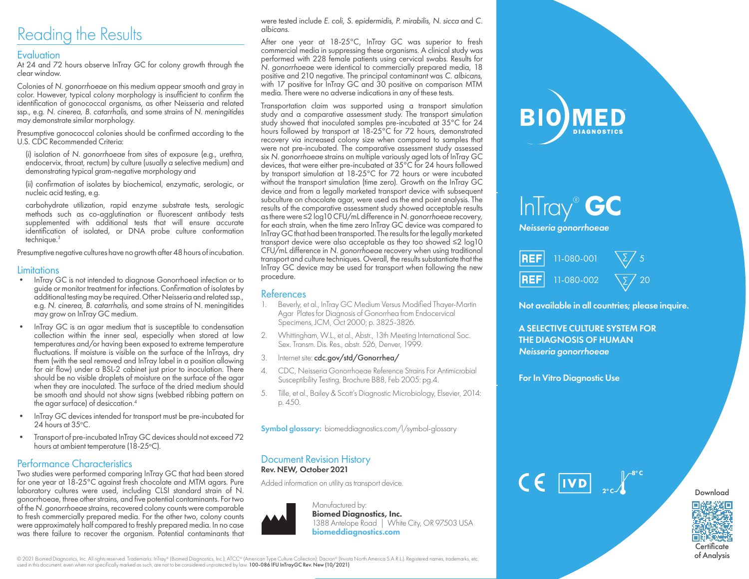# Reading the Results

## **Evaluation**

At 24 and 72 hours observe InTray GC for colony growth through the clear window.

Colonies of *N. gonorrhoeae* on this medium appear smooth and gray in color. However, typical colony morphology is insufficient to confirm the identification of gonococcal organisms, as other Neisseria and related ssp., e.g. *N. cinerea, B. catarrhalis,* and some strains of *N. meningitides*  may demonstrate similar morphology.

Presumptive gonococcal colonies should be confirmed according to the U.S. CDC Recommended Criteria:

(i) isolation of *N. gonorrhoeae* from sites of exposure (e.g., urethra, endocervix, throat, rectum) by culture (usually a selective medium) and demonstrating typical gram-negative morphology and

(ii) confirmation of isolates by biochemical, enzymatic, serologic, or nucleic acid testing, e.g.

carbohydrate utilization, rapid enzyme substrate tests, serologic methods such as co-agglutination or fluorescent antibody tests supplemented with additional tests that will ensure accurate identification of isolated, or DNA probe culture conformation technique.3

Presumptive negative cultures have no growth after 48 hours of incubation.

### **Limitations**

- InTray GC is not intended to diagnose Gonorrhoeal infection or to guide or monitor treatment for infections. Confirmation of isolates by additional testing may be required. Other Neisseria and related ssp., e.g. *N. cinerea, B. catarrhalis,* and some strains of N. meningitides may grow on InTray GC medium.
- InTray GC is an agar medium that is susceptible to condensation collection within the inner seal, especially when stored at low temperatures and/or having been exposed to extreme temperature fluctuations. If moisture is visible on the surface of the InTrays, dry them (with the seal removed and InTray label in a position allowing for air flow) under a BSL-2 cabinet just prior to inoculation. There should be no visible droplets of moisture on the surface of the agar when they are inoculated. The surface of the dried medium should be smooth and should not show signs (webbed ribbing pattern on the agar surface) of desiccation.4
- InTray GC devices intended for transport must be pre-incubated for 24 hours at 35°C.
- Transport of pre-incubated InTray GC devices should not exceed 72 hours at ambient temperature (18-25°C).

## Performance Characteristics

Two studies were performed comparing InTray GC that had been stored for one year at 18-25°C against fresh chocolate and MTM agars. Pure laboratory cultures were used, including CLSI standard strain of N. gonorrhoeae, three other strains, and five potential contaminants. For two of the *N. gonorrhoeae* strains, recovered colony counts were comparable to fresh commercially prepared media. For the other two, colony counts were approximately half compared to freshly prepared media. In no case was there failure to recover the organism. Potential contaminants that

were tested include *E. coli, S. epidermidis, P. mirabilis, N. sicca* and *C. albicans*.

After one year at 18-25°C, InTray GC was superior to fresh commercial media in suppressing these organisms. A clinical study was performed with 228 female patients using cervical swabs. Results for *N. gonorrhoeae* were identical to commercially prepared media, 18 with 17 positive for InTray GC and 30 positive on comparison MTM media. There were no adverse indications in any of these tests.

Transportation claim was supported using a transport simulation study and a comparative assessment study. The transport simulation study showed that inoculated samples pre-incubated at 35°C for 24 hours followed by transport at 18-25°C for 72 hours, demonstrated recovery via increased colony size when compared to samples that were not pre-incubated. The comparative assessment study assessed six *N. gonorrhoeae* strains on multiple variously aged lots of InTray GC devices, that were either pre-incubated at 35°C for 24 hours followed by transport simulation at 18-25°C for 72 hours or were incubated without the transport simulation (time zero). Growth on the InTray GC device and from a legally marketed transport device with subsequent subculture on chocolate agar, were used as the end point analysis. The results of the comparative assessment study showed acceptable results as there were ≤2 log10 CFU/mL difference in *N. gonorrhoeae* recovery, for each strain, when the time zero InTray GC device was compared to InTray GC that had been transported. The results for the legally marketed transport device were also acceptable as they too showed ≤2 log10 CFU/mL difference in *N. gonorrhoeae* recovery when using traditional transport and culture techniques. Overall, the results substantiate that the InTray GC device may be used for transport when following the new procedure.

### References

- 1. Beverly, et al., InTray GC Medium Versus Modified Thayer-Martin Agar Plates for Diagnosis of Gonorrhea from Endocervical Specimens, JCM, Oct 2000; p. 3825-3826.
- 2. Whittingham, W.L., et al., Abstr., 13th Meeting International Soc. Sex. Transm. Dis. Res., abstr. 526, Denver, 1999.
- 3. Internet site: cdc.gov/std/Gonorrhea/
- 4. CDC, Neisseria Gonorrhoeae Reference Strains For Antimicrobial Susceptibility Testing, Brochure B88, Feb 2005: pg.4.
- 5. Tille, et al., Bailey & Scott's Diagnostic Microbiology, Elsevier, 2014: p. 450.

Symbol glossary: biomeddiagnostics.com/l/symbol-glossary

### Document Revision History Rev. NEW, October 2021

Added information on utility as transport device.



# **BIO)MED DIAGNOSTICS**

# InTray® GC *Neisseria gonorrhoeae*

| <b>REF</b> 11-080-001 | $\Sigma/5$         |
|-----------------------|--------------------|
| <b>REF</b> 11-080-002 | $\sqrt{\Sigma/20}$ |

Not available in all countries; please inquire.

A SELECTIVE CULTURE SYSTEM FOR THE DIAGNOSIS OF HUMAN *Neisseria gonorrhoeae*

For In Vitro Diagnostic Use





of Analysis

© 2021 Biomed Diagnostics, Inc. All rights reserved. Trademarks: InTray® (Biomed Diagnostics, Inc.); ATCC® (American Type Culture Collection); Dacron® (Invista North America S.A.R.L.). Registered names, trademarks, etc.<br>us